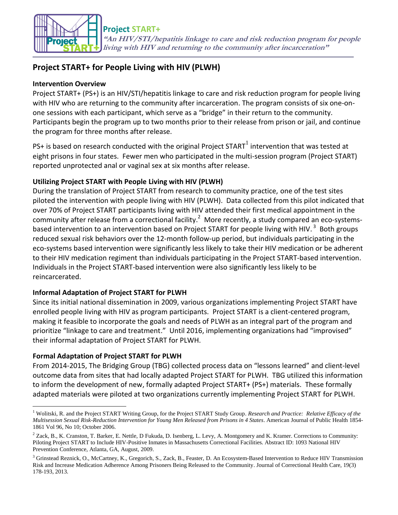

# **Project START+ for People Living with HIV (PLWH)**

#### **Intervention Overview**

Project START+ (PS+) is an HIV/STI/hepatitis linkage to care and risk reduction program for people living with HIV who are returning to the community after incarceration. The program consists of six one-onone sessions with each participant, which serve as a "bridge" in their return to the community. Participants begin the program up to two months prior to their release from prison or jail, and continue the program for three months after release.

PS+ is based on research conducted with the original Project START $^1$  intervention that was tested at eight prisons in four states. Fewer men who participated in the multi-session program (Project START) reported unprotected anal or vaginal sex at six months after release.

## **Utilizing Project START with People Living with HIV (PLWH)**

During the translation of Project START from research to community practice, one of the test sites piloted the intervention with people living with HIV (PLWH). Data collected from this pilot indicated that over 70% of Project START participants living with HIV attended their first medical appointment in the community after release from a correctional facility.<sup>2</sup> More recently, a study compared an eco-systemsbased intervention to an intervention based on Project START for people living with HIV.<sup>3</sup> Both groups reduced sexual risk behaviors over the 12-month follow-up period, but individuals participating in the eco-systems based intervention were significantly less likely to take their HIV medication or be adherent to their HIV medication regiment than individuals participating in the Project START-based intervention. Individuals in the Project START-based intervention were also significantly less likely to be reincarcerated.

## **Informal Adaptation of Project START for PLWH**

Since its initial national dissemination in 2009, various organizations implementing Project START have enrolled people living with HIV as program participants. Project START is a client-centered program, making it feasible to incorporate the goals and needs of PLWH as an integral part of the program and prioritize "linkage to care and treatment." Until 2016, implementing organizations had "improvised" their informal adaptation of Project START for PLWH.

## **Formal Adaptation of Project START for PLWH**

 $\overline{a}$ 

From 2014-2015, The Bridging Group (TBG) collected process data on "lessons learned" and client-level outcome data from sites that had locally adapted Project START for PLWH. TBG utilized this information to inform the development of new, formally adapted Project START+ (PS+) materials. These formally adapted materials were piloted at two organizations currently implementing Project START for PLWH.

<sup>1</sup> Wolitski, R. and the Project START Writing Group, for the Project START Study Group. *Research and Practice: Relative Efficacy of the Multisession Sexual Risk-Reduction Intervention for Young Men Released from Prisons in 4 States*. American Journal of Public Health 1854- 1861 Vol 96, No 10; October 2006.

 $2$  Zack, B., K. Cranston, T. Barker, E. Nettle, D Fukuda, D. Isenberg, L. Levy, A. Montgomery and K. Kramer. Corrections to Community: Piloting Project START to Include HIV-Positive Inmates in Massachusetts Correctional Facilities. Abstract ID: 1093 National HIV Prevention Conference, Atlanta, GA, August, 2009.

<sup>&</sup>lt;sup>3</sup> Grinstead Reznick, O., McCartney, K., Gregorich, S., Zack, B., Feaster, D. An Ecosystem-Based Intervention to Reduce HIV Transmission Risk and Increase Medication Adherence Among Prisoners Being Released to the Community. Journal of Correctional Health Care, 19(3) 178-193, 2013.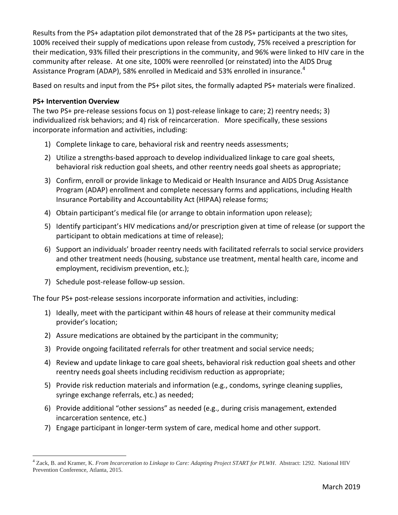Results from the PS+ adaptation pilot demonstrated that of the 28 PS+ participants at the two sites, 100% received their supply of medications upon release from custody, 75% received a prescription for their medication, 93% filled their prescriptions in the community, and 96% were linked to HIV care in the community after release. At one site, 100% were reenrolled (or reinstated) into the AIDS Drug Assistance Program (ADAP), 58% enrolled in Medicaid and 53% enrolled in insurance.<sup>4</sup>

Based on results and input from the PS+ pilot sites, the formally adapted PS+ materials were finalized.

### **PS+ Intervention Overview**

The two PS+ pre-release sessions focus on 1) post-release linkage to care; 2) reentry needs; 3) individualized risk behaviors; and 4) risk of reincarceration. More specifically, these sessions incorporate information and activities, including:

- 1) Complete linkage to care, behavioral risk and reentry needs assessments;
- 2) Utilize a strengths-based approach to develop individualized linkage to care goal sheets, behavioral risk reduction goal sheets, and other reentry needs goal sheets as appropriate;
- 3) Confirm, enroll or provide linkage to Medicaid or Health Insurance and AIDS Drug Assistance Program (ADAP) enrollment and complete necessary forms and applications, including Health Insurance Portability and Accountability Act (HIPAA) release forms;
- 4) Obtain participant's medical file (or arrange to obtain information upon release);
- 5) Identify participant's HIV medications and/or prescription given at time of release (or support the participant to obtain medications at time of release);
- 6) Support an individuals' broader reentry needs with facilitated referrals to social service providers and other treatment needs (housing, substance use treatment, mental health care, income and employment, recidivism prevention, etc.);
- 7) Schedule post-release follow-up session.

The four PS+ post-release sessions incorporate information and activities, including:

- 1) Ideally, meet with the participant within 48 hours of release at their community medical provider's location;
- 2) Assure medications are obtained by the participant in the community;
- 3) Provide ongoing facilitated referrals for other treatment and social service needs;
- 4) Review and update linkage to care goal sheets, behavioral risk reduction goal sheets and other reentry needs goal sheets including recidivism reduction as appropriate;
- 5) Provide risk reduction materials and information (e.g., condoms, syringe cleaning supplies, syringe exchange referrals, etc.) as needed;
- 6) Provide additional "other sessions" as needed (e.g., during crisis management, extended incarceration sentence, etc.)
- 7) Engage participant in longer-term system of care, medical home and other support.

 $\overline{a}$ <sup>4</sup> Zack, B. and Kramer, K. *From Incarceration to Linkage to Care: Adapting Project START for PLWH*. Abstract: 1292. National HIV Prevention Conference, Atlanta, 2015.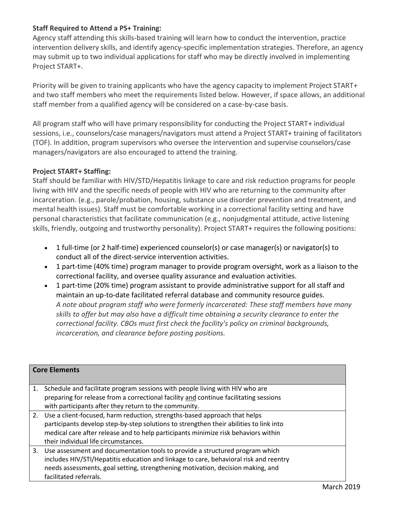#### **Staff Required to Attend a PS+ Training:**

Agency staff attending this skills-based training will learn how to conduct the intervention, practice intervention delivery skills, and identify agency-specific implementation strategies. Therefore, an agency may submit up to two individual applications for staff who may be directly involved in implementing Project START+.

Priority will be given to training applicants who have the agency capacity to implement Project START+ and two staff members who meet the requirements listed below. However, if space allows, an additional staff member from a qualified agency will be considered on a case-by-case basis.

All program staff who will have primary responsibility for conducting the Project START+ individual sessions, i.e., counselors/case managers/navigators must attend a Project START+ training of facilitators (TOF). In addition, program supervisors who oversee the intervention and supervise counselors/case managers/navigators are also encouraged to attend the training.

#### **Project START+ Staffing:**

Staff should be familiar with HIV/STD/Hepatitis linkage to care and risk reduction programs for people living with HIV and the specific needs of people with HIV who are returning to the community after incarceration. (e.g., parole/probation, housing, substance use disorder prevention and treatment, and mental health issues). Staff must be comfortable working in a correctional facility setting and have personal characteristics that facilitate communication (e.g., nonjudgmental attitude, active listening skills, friendly, outgoing and trustworthy personality). Project START+ requires the following positions:

- 1 full-time (or 2 half-time) experienced counselor(s) or case manager(s) or navigator(s) to conduct all of the direct-service intervention activities.
- 1 part-time (40% time) program manager to provide program oversight, work as a liaison to the correctional facility, and oversee quality assurance and evaluation activities.
- 1 part-time (20% time) program assistant to provide administrative support for all staff and maintain an up-to-date facilitated referral database and community resource guides. *A note about program staff who were formerly incarcerated: These staff members have many skills to offer but may also have a difficult time obtaining a security clearance to enter the correctional facility. CBOs must first check the facility's policy on criminal backgrounds, incarceration, and clearance before posting positions.*

| <b>Core Elements</b> |                                                                                        |  |
|----------------------|----------------------------------------------------------------------------------------|--|
| 1.                   | Schedule and facilitate program sessions with people living with HIV who are           |  |
|                      | preparing for release from a correctional facility and continue facilitating sessions  |  |
|                      | with participants after they return to the community.                                  |  |
|                      | 2. Use a client-focused, harm reduction, strengths-based approach that helps           |  |
|                      | participants develop step-by-step solutions to strengthen their abilities to link into |  |
|                      | medical care after release and to help participants minimize risk behaviors within     |  |
|                      | their individual life circumstances.                                                   |  |
| 3.                   | Use assessment and documentation tools to provide a structured program which           |  |
|                      | includes HIV/STI/Hepatitis education and linkage to care, behavioral risk and reentry  |  |
|                      | needs assessments, goal setting, strengthening motivation, decision making, and        |  |
|                      | facilitated referrals.                                                                 |  |